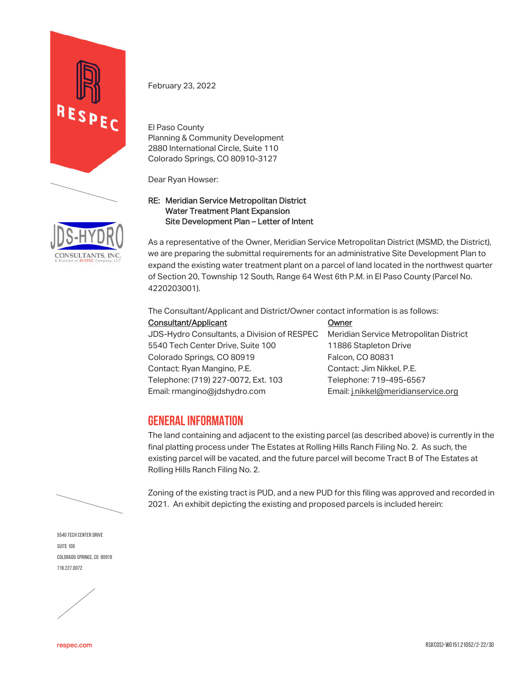



El Paso County Planning & Community Development 2880 International Circle, Suite 110 Colorado Springs, CO 80910-3127

Dear Ryan Howser:

#### RE: Meridian Service Metropolitan District Water Treatment Plant Expansion Site Development Plan – Letter of Intent

As a representative of the Owner, Meridian Service Metropolitan District (MSMD, the District), we are preparing the submittal requirements for an administrative Site Development Plan to expand the existing water treatment plant on a parcel of land located in the northwest quarter of Section 20, Township 12 South, Range 64 West 6th P.M. in El Paso County (Parcel No. 4220203001).

The Consultant/Applicant and District/Owner contact information is as follows:

Consultant/Applicant Owner JDS-Hydro Consultants, a Division of RESPEC Meridian Service Metropolitan District 5540 Tech Center Drive, Suite 100 11886 Stapleton Drive Colorado Springs, CO 80919 Falcon, CO 80831 Contact: Ryan Mangino, P.E. Contact: Jim Nikkel, P.E. Telephone: (719) 227-0072, Ext. 103 Telephone: 719-495-6567 Email: rmangino@jdshydro.com Email: j.nikkel@meridianservice.org

# **GENERAL INFORMATION**

The land containing and adjacent to the existing parcel (as described above) is currently in the final platting process under The Estates at Rolling Hills Ranch Filing No. 2. As such, the existing parcel will be vacated, and the future parcel will become Tract B of The Estates at Rolling Hills Ranch Filing No. 2.

Zoning of the existing tract is PUD, and a new PUD for this filing was approved and recorded in 2021. An exhibit depicting the existing and proposed parcels is included herein:

5540 Tech Center Drive SUITE 100 Colorado Springs, CO 80919 719.227.0072

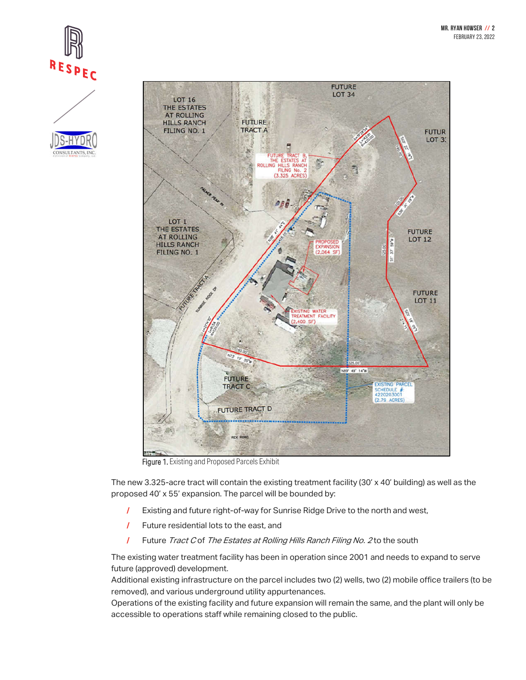





Figure 1. Existing and Proposed Parcels Exhibit

The new 3.325-acre tract will contain the existing treatment facility (30' x 40' building) as well as the proposed 40' x 55' expansion. The parcel will be bounded by:

- / Existing and future right-of-way for Sunrise Ridge Drive to the north and west,
- / Future residential lots to the east, and
- **/ Future Tract C of The Estates at Rolling Hills Ranch Filing No. 2 to the south**

The existing water treatment facility has been in operation since 2001 and needs to expand to serve future (approved) development.

Additional existing infrastructure on the parcel includes two (2) wells, two (2) mobile office trailers (to be removed), and various underground utility appurtenances.

Operations of the existing facility and future expansion will remain the same, and the plant will only be accessible to operations staff while remaining closed to the public.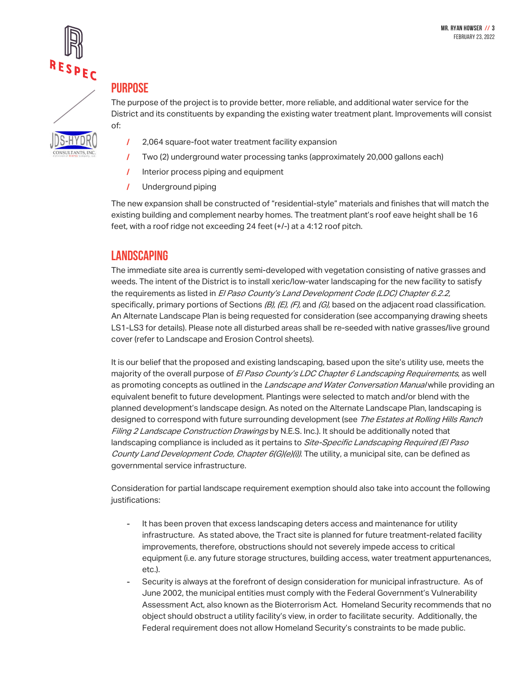

# **PURPOSE**

The purpose of the project is to provide better, more reliable, and additional water service for the District and its constituents by expanding the existing water treatment plant. Improvements will consist of:

- 
- / 2,064 square-foot water treatment facility expansion
- / Two (2) underground water processing tanks (approximately 20,000 gallons each)
- / Interior process piping and equipment
- / Underground piping

The new expansion shall be constructed of "residential-style" materials and finishes that will match the existing building and complement nearby homes. The treatment plant's roof eave height shall be 16 feet, with a roof ridge not exceeding 24 feet (+/-) at a 4:12 roof pitch.

#### **LANDSCAPING**

The immediate site area is currently semi-developed with vegetation consisting of native grasses and weeds. The intent of the District is to install xeric/low-water landscaping for the new facility to satisfy the requirements as listed in El Paso County's Land Development Code (LDC) Chapter 6.2.2, specifically, primary portions of Sections  $(B)$ ,  $(E)$ ,  $(F)$ , and  $(G)$ , based on the adjacent road classification. An Alternate Landscape Plan is being requested for consideration (see accompanying drawing sheets LS1-LS3 for details). Please note all disturbed areas shall be re-seeded with native grasses/live ground cover (refer to Landscape and Erosion Control sheets).

It is our belief that the proposed and existing landscaping, based upon the site's utility use, meets the majority of the overall purpose of El Paso County's LDC Chapter 6 Landscaping Requirements, as well as promoting concepts as outlined in the Landscape and Water Conversation Manual while providing an equivalent benefit to future development. Plantings were selected to match and/or blend with the planned development's landscape design. As noted on the Alternate Landscape Plan, landscaping is designed to correspond with future surrounding development (see The Estates at Rolling Hills Ranch Filing 2 Landscape Construction Drawings by N.E.S. Inc.). It should be additionally noted that landscaping compliance is included as it pertains to *Site-Specific Landscaping Required (El Paso* County Land Development Code, Chapter 6(G)(e)(i)). The utility, a municipal site, can be defined as governmental service infrastructure.

Consideration for partial landscape requirement exemption should also take into account the following justifications:

- It has been proven that excess landscaping deters access and maintenance for utility infrastructure. As stated above, the Tract site is planned for future treatment-related facility improvements, therefore, obstructions should not severely impede access to critical equipment (i.e. any future storage structures, building access, water treatment appurtenances, etc.).
- Security is always at the forefront of design consideration for municipal infrastructure. As of June 2002, the municipal entities must comply with the Federal Government's Vulnerability Assessment Act, also known as the Bioterrorism Act. Homeland Security recommends that no object should obstruct a utility facility's view, in order to facilitate security. Additionally, the Federal requirement does not allow Homeland Security's constraints to be made public.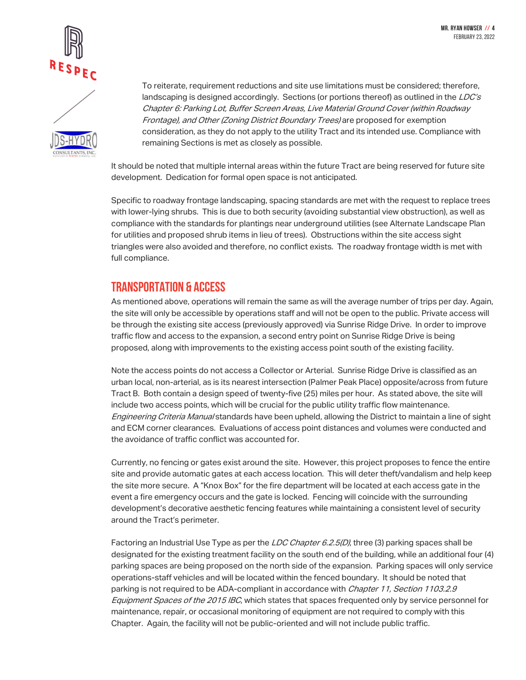



To reiterate, requirement reductions and site use limitations must be considered; therefore, landscaping is designed accordingly. Sections (or portions thereof) as outlined in the  $LDC's$ Chapter 6: Parking Lot, Buffer Screen Areas, Live Material Ground Cover (within Roadway Frontage), and Other (Zoning District Boundary Trees) are proposed for exemption consideration, as they do not apply to the utility Tract and its intended use. Compliance with remaining Sections is met as closely as possible.

It should be noted that multiple internal areas within the future Tract are being reserved for future site development. Dedication for formal open space is not anticipated.

Specific to roadway frontage landscaping, spacing standards are met with the request to replace trees with lower-lying shrubs. This is due to both security (avoiding substantial view obstruction), as well as compliance with the standards for plantings near underground utilities (see Alternate Landscape Plan for utilities and proposed shrub items in lieu of trees). Obstructions within the site access sight triangles were also avoided and therefore, no conflict exists. The roadway frontage width is met with full compliance.

## **TRANSPORTATION & ACCESS**

As mentioned above, operations will remain the same as will the average number of trips per day. Again, the site will only be accessible by operations staff and will not be open to the public. Private access will be through the existing site access (previously approved) via Sunrise Ridge Drive. In order to improve traffic flow and access to the expansion, a second entry point on Sunrise Ridge Drive is being proposed, along with improvements to the existing access point south of the existing facility.

Note the access points do not access a Collector or Arterial. Sunrise Ridge Drive is classified as an urban local, non-arterial, as is its nearest intersection (Palmer Peak Place) opposite/across from future Tract B. Both contain a design speed of twenty-five (25) miles per hour. As stated above, the site will include two access points, which will be crucial for the public utility traffic flow maintenance. Engineering Criteria Manual standards have been upheld, allowing the District to maintain a line of sight and ECM corner clearances. Evaluations of access point distances and volumes were conducted and the avoidance of traffic conflict was accounted for.

Currently, no fencing or gates exist around the site. However, this project proposes to fence the entire site and provide automatic gates at each access location. This will deter theft/vandalism and help keep the site more secure. A "Knox Box" for the fire department will be located at each access gate in the event a fire emergency occurs and the gate is locked. Fencing will coincide with the surrounding development's decorative aesthetic fencing features while maintaining a consistent level of security around the Tract's perimeter.

Factoring an Industrial Use Type as per the LDC Chapter 6.2.5(D), three (3) parking spaces shall be designated for the existing treatment facility on the south end of the building, while an additional four (4) parking spaces are being proposed on the north side of the expansion. Parking spaces will only service operations-staff vehicles and will be located within the fenced boundary. It should be noted that parking is not required to be ADA-compliant in accordance with *Chapter 11, Section 1103.2.9* Equipment Spaces of the 2015 IBC, which states that spaces frequented only by service personnel for maintenance, repair, or occasional monitoring of equipment are not required to comply with this Chapter. Again, the facility will not be public-oriented and will not include public traffic.